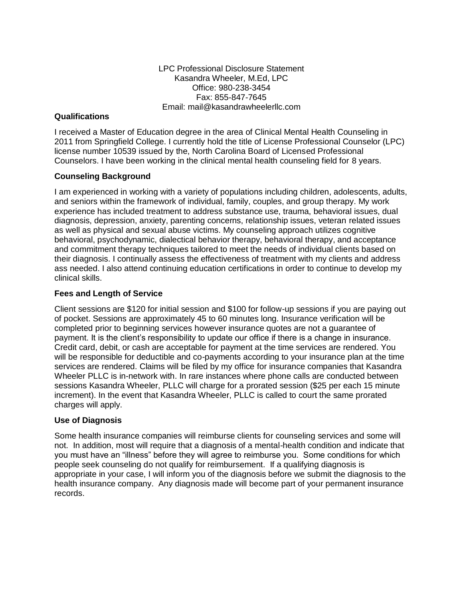LPC Professional Disclosure Statement Kasandra Wheeler, M.Ed, LPC Office: 980-238-3454 Fax: 855-847-7645 Email: mail@kasandrawheelerllc.com

## **Qualifications**

I received a Master of Education degree in the area of Clinical Mental Health Counseling in 2011 from Springfield College. I currently hold the title of License Professional Counselor (LPC) license number 10539 issued by the, North Carolina Board of Licensed Professional Counselors. I have been working in the clinical mental health counseling field for 8 years.

# **Counseling Background**

I am experienced in working with a variety of populations including children, adolescents, adults, and seniors within the framework of individual, family, couples, and group therapy. My work experience has included treatment to address substance use, trauma, behavioral issues, dual diagnosis, depression, anxiety, parenting concerns, relationship issues, veteran related issues as well as physical and sexual abuse victims. My counseling approach utilizes cognitive behavioral, psychodynamic, dialectical behavior therapy, behavioral therapy, and acceptance and commitment therapy techniques tailored to meet the needs of individual clients based on their diagnosis. I continually assess the effectiveness of treatment with my clients and address ass needed. I also attend continuing education certifications in order to continue to develop my clinical skills.

## **Fees and Length of Service**

Client sessions are \$120 for initial session and \$100 for follow-up sessions if you are paying out of pocket. Sessions are approximately 45 to 60 minutes long. Insurance verification will be completed prior to beginning services however insurance quotes are not a guarantee of payment. It is the client's responsibility to update our office if there is a change in insurance. Credit card, debit, or cash are acceptable for payment at the time services are rendered. You will be responsible for deductible and co-payments according to your insurance plan at the time services are rendered. Claims will be filed by my office for insurance companies that Kasandra Wheeler PLLC is in-network with. In rare instances where phone calls are conducted between sessions Kasandra Wheeler, PLLC will charge for a prorated session (\$25 per each 15 minute increment). In the event that Kasandra Wheeler, PLLC is called to court the same prorated charges will apply.

## **Use of Diagnosis**

Some health insurance companies will reimburse clients for counseling services and some will not. In addition, most will require that a diagnosis of a mental-health condition and indicate that you must have an "illness" before they will agree to reimburse you. Some conditions for which people seek counseling do not qualify for reimbursement. If a qualifying diagnosis is appropriate in your case, I will inform you of the diagnosis before we submit the diagnosis to the health insurance company. Any diagnosis made will become part of your permanent insurance records.